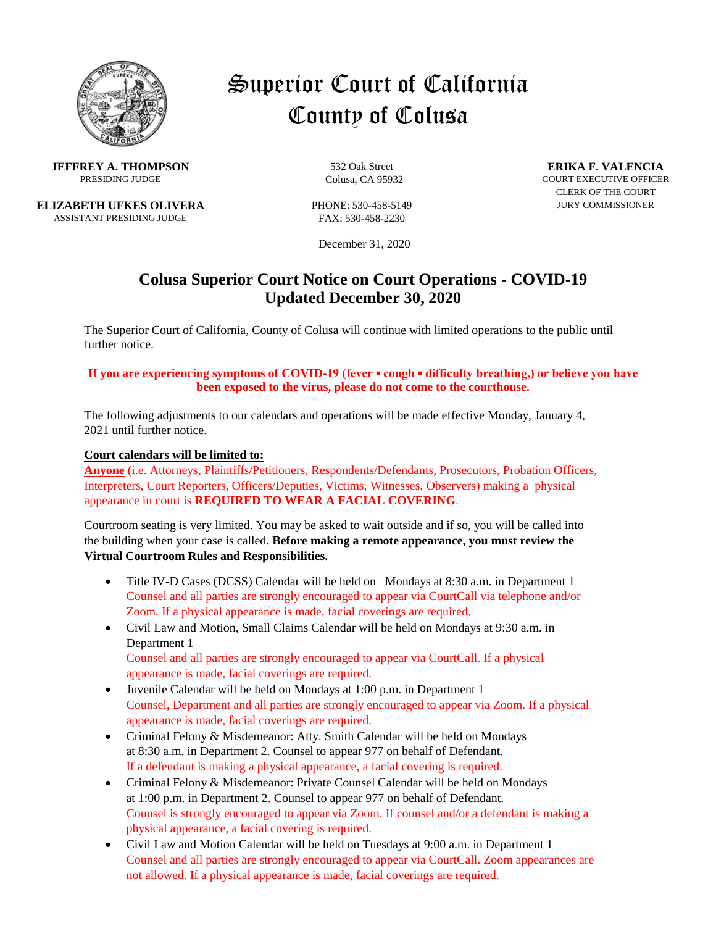

# Superior Court of California County of Colusa

**JEFFREY A. THOMPSON** 532 Oak Street **ERIKA F. VALENCIA**<br>PRESIDING JUDGE COURS CA 95932 COURT EXECUTIVE OFFICE

**ELIZABETH UFKES OLIVERA** PHONE: 530-458-5149 JURY COMMISSIONER ASSISTANT PRESIDING JUDGE FAX: 530-458-2230

December 31, 2020

## **Colusa Superior Court Notice on Court Operations - COVID-19 Updated December 30, 2020**

The Superior Court of California, County of Colusa will continue with limited operations to the public until further notice.

#### **If you are experiencing symptoms of COVID-19 (fever ▪ cough ▪ difficulty breathing,) or believe you have been exposed to the virus, please do not come to the courthouse.**

The following adjustments to our calendars and operations will be made effective Monday, January 4, 2021 until further notice.

#### **Court calendars will be limited to:**

**Anyone** (i.e. Attorneys, Plaintiffs/Petitioners, Respondents/Defendants, Prosecutors, Probation Officers, Interpreters, Court Reporters, Officers/Deputies, Victims, Witnesses, Observers) making a physical appearance in court is **REQUIRED TO WEAR A FACIAL COVERING**.

Courtroom seating is very limited. You may be asked to wait outside and if so, you will be called into the building when your case is called. **Before making a remote appearance, you must review the Virtual Courtroom Rules and Responsibilities.**

- Title IV-D Cases (DCSS) Calendar will be held on Mondays at 8:30 a.m. in Department 1 Counsel and all parties are strongly encouraged to appear via CourtCall via telephone and/or Zoom. If a physical appearance is made, facial coverings are required.
- Civil Law and Motion, Small Claims Calendar will be held on Mondays at 9:30 a.m. in Department 1 Counsel and all parties are strongly encouraged to appear via CourtCall. If a physical appearance is made, facial coverings are required.
- Juvenile Calendar will be held on Mondays at 1:00 p.m. in Department 1 Counsel, Department and all parties are strongly encouraged to appear via Zoom. If a physical appearance is made, facial coverings are required.
- Criminal Felony & Misdemeanor: Atty. Smith Calendar will be held on Mondays at 8:30 a.m. in Department 2. Counsel to appear 977 on behalf of Defendant. If a defendant is making a physical appearance, a facial covering is required.
- Criminal Felony & Misdemeanor: Private Counsel Calendar will be held on Mondays at 1:00 p.m. in Department 2. Counsel to appear 977 on behalf of Defendant. Counsel is strongly encouraged to appear via Zoom. If counsel and/or a defendant is making a physical appearance, a facial covering is required.
- Civil Law and Motion Calendar will be held on Tuesdays at 9:00 a.m. in Department 1 Counsel and all parties are strongly encouraged to appear via CourtCall. Zoom appearances are not allowed. If a physical appearance is made, facial coverings are required.

**PRESIDING Colusa, CA 95932** COURT EXECUTIVE OFFICER CLERK OF THE COURT